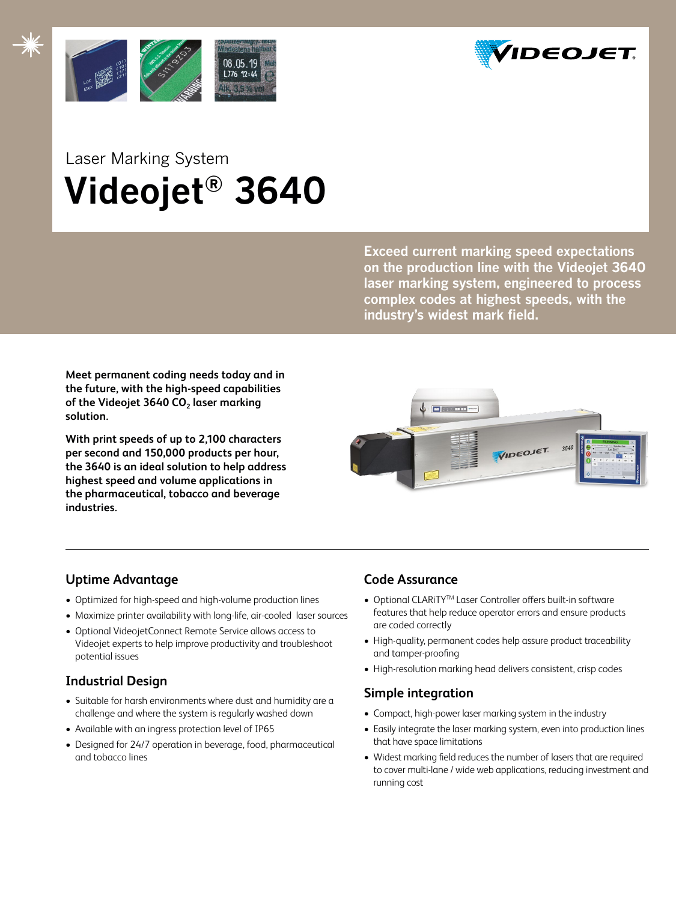



## Laser Marking System  **Videojet® 3640**

**Exceed current marking speed expectations on the production line with the Videojet 3640 laser marking system, engineered to process complex codes at highest speeds, with the industry's widest mark field.** 

**Meet permanent coding needs today and in the future, with the high-speed capabilities**  of the Videojet 3640 CO<sub>2</sub> laser marking **solution.** 

**With print speeds of up to 2,100 characters per second and 150,000 products per hour, the 3640 is an ideal solution to help address highest speed and volume applications in the pharmaceutical, tobacco and beverage industries.** 



## **Uptime Advantage**

- Optimized for high-speed and high-volume production lines
- • Maximize printer availability with long-life, air-cooled laser sources
- • Optional VideojetConnect Remote Service allows access to Videojet experts to help improve productivity and troubleshoot potential issues

## **Industrial Design**

- Suitable for harsh environments where dust and humidity are a challenge and where the system is regularly washed down
- Available with an ingress protection level of IP65
- Designed for 24/7 operation in beverage, food, pharmaceutical and tobacco lines

## **Code Assurance**

- Optional CLARiTY<sup>™</sup> Laser Controller offers built-in software features that help reduce operator errors and ensure products are coded correctly
- High-quality, permanent codes help assure product traceability and tamper-proofing
- High-resolution marking head delivers consistent, crisp codes

## **Simple integration**

- Compact, high-power laser marking system in the industry
- Easily integrate the laser marking system, even into production lines that have space limitations
- Widest marking field reduces the number of lasers that are required to cover multi-lane / wide web applications, reducing investment and running cost